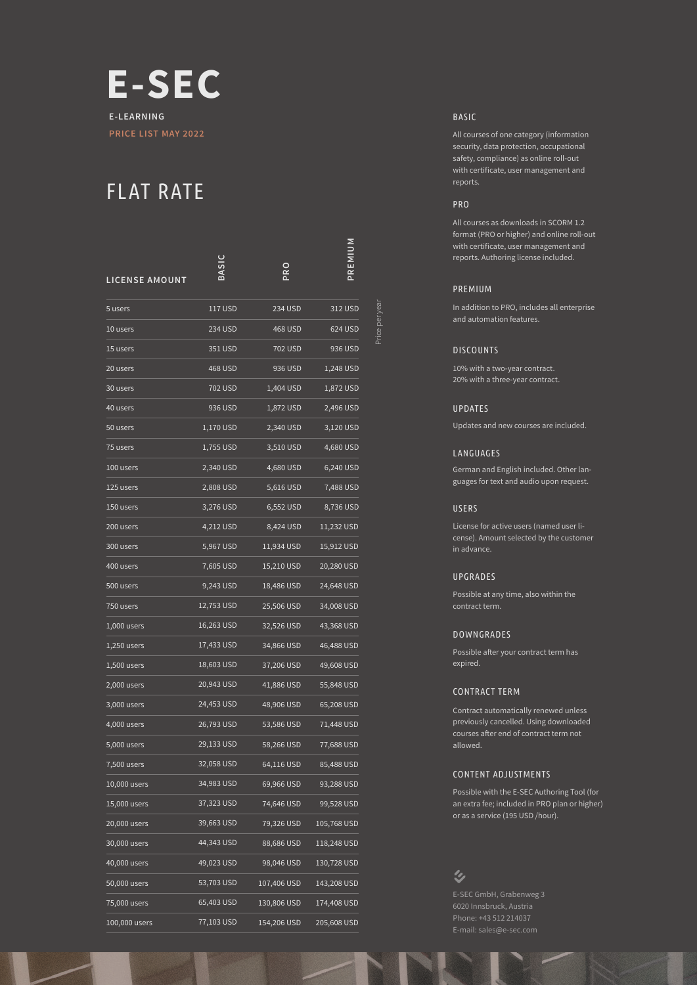

# FLAT RATE

| LICENSE AMOUNT |                  | <b>Dac</b>  | PREMIUM     |
|----------------|------------------|-------------|-------------|
| 5 users        | 117 USD          | 234 USD     | 312 USD     |
| 10 users       | 234 USD          | 468 USD     | 624 USD     |
| 15 users       | 351 USD          | 702 USD     | 936 USD     |
| 20 users       | 468 USD          | 936 USD     | 1,248 USD   |
| 30 users       | 702 USD          | 1,404 USD   | 1,872 USD   |
| 40 users       | 936 USD          | 1,872 USD   | 2,496 USD   |
| 50 users       | 1,170 USD        | 2,340 USD   | 3,120 USD   |
| 75 users       | <u>1,755 USD</u> | 3,510 USD   | 4,680 USD   |
| 100 users      | 2,340 USD        | 4,680 USD   | 6,240 USD   |
| 125 users      | 2,808 USD        | 5,616 USD   | 7,488 USD   |
| 150 users      | 3,276 USD        | 6,552 USD   | 8,736 USD   |
| 200 users      | 4,212 USD        | 8,424 USD   | 11,232 USD  |
| 300 users      | 5,967 USD        | 11,934 USD  | 15,912 USD  |
| 400 users      | 7,605 USD        | 15,210 USD  | 20,280 USD  |
| 500 users      | 9,243 USD        | 18,486 USD  | 24,648 USD  |
| 750 users      | 12,753 USD       | 25,506 USD  | 34,008 USD  |
| $1,000$ users  | 16,263 USD       | 32,526 USD  | 43,368 USD  |
| 1,250 users    | 17,433 USD       | 34,866 USD  | 46,488 USD  |
| 1,500 users    | 18,603 USD       | 37,206 USD  | 49,608 USD  |
| 2,000 users    | 20,943 USD       | 41,886 USD  | 55,848 USD  |
| 3,000 users    | 24,453 USD       | 48,906 USD  | 65,208 USD  |
| 4,000 users    | 26,793 USD       | 53,586 USD  | 71,448 USD  |
| 5,000 users    | 29,133 USD       | 58,266 USD  | 77,688 USD  |
| 7,500 users    | 32,058 USD       | 64,116 USD  | 85,488 USD  |
| 10,000 users   | 34,983 USD       | 69,966 USD  | 93,288 USD  |
| 15,000 users   | 37,323 USD       | 74,646 USD  | 99,528 USD  |
| 20,000 users   | 39,663 USD       | 79,326 USD  | 105,768 USD |
| 30,000 users   | 44,343 USD       | 88,686 USD  | 118,248 USD |
| 40,000 users   | 49,023 USD       | 98,046 USD  | 130,728 USD |
| 50,000 users   | 53,703 USD       | 107,406 USD | 143,208 USD |
| 75,000 users   | 65,403 USD       | 130,806 USD | 174,408 USD |
| 100,000 users  | 77,103 USD       | 154,206 USD | 205,608 USD |

BASIC

All courses of one category (information security, data protection, occupational safety, compliance) as online roll-out with certificate, user management and reports.

# PRO

All courses as downloads in SCORM 1.2 format (PRO or higher) and online roll-out with certificate, user management and reports. Authoring license included.

#### PREMIUM

Price per year

rice per vea

In addition to PRO, includes all enterprise and automation features.

#### **DISCOUNTS**

10% with a two-year contract. 20% with a three-year contract.

#### UPDATES

Updates and new courses are included.

#### LANGUAGES

German and English included. Other languages for text and audio upon request.

#### USERS

License for active users (named user license). Amount selected by the customer in advance.

#### UPGRADES

Possible at any time, also within the contract term.

#### DOWNGRADES

Possible after your contract term has expired.

#### CONTRACT TERM

Contract automatically renewed unless previously cancelled. Using downloaded courses after end of contract term not allowed.

#### CONTENT ADJUSTMENTS

Possible with the E-SEC Authoring Tool (for an extra fee; included in PRO plan or higher) or as a service (195 USD /hour).

# $\mathbf{\hat{z}}$

6020 Innsbruck, Austria Phone: +43 512 214037 E-mail: sales@e-sec.com